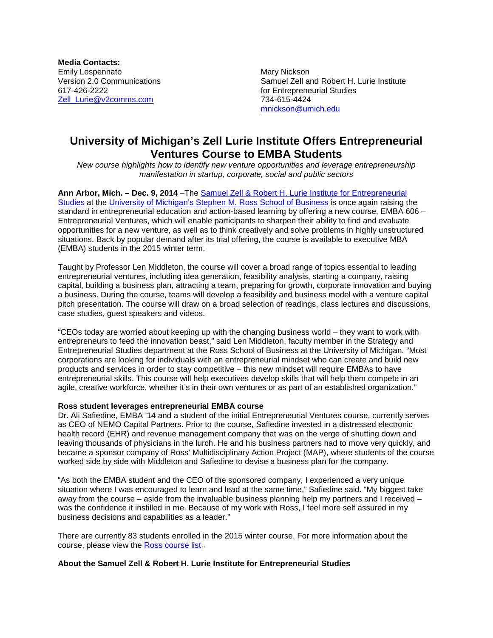**Media Contacts:** Emily Lospennato **Mary Nickson** Mary Nickson [Zell\\_Lurie@v2comms.com](mailto:Zell_Lurie@v2comms.com)

Version 2.0 Communications  $\begin{array}{ccc}\n\text{Samuel Zell and Robert H. Lurie Institute} \\
\text{617-426-2222}\n\end{array}$ for Entrepreneurial Studies<br>734-615-4424 [mnickson@umich.edu](mailto:mnickson@umich.edu)

## **University of Michigan's Zell Lurie Institute Offers Entrepreneurial Ventures Course to EMBA Students**

*New course highlights how to identify new venture opportunities and leverage entrepreneurship manifestation in startup, corporate, social and public sectors*

**Ann Arbor, Mich. – Dec. 9, 2014** –The [Samuel Zell & Robert H. Lurie Institute for](http://www.zli.bus.umich.edu/index.asp) Entrepreneurial [Studies](http://www.zli.bus.umich.edu/index.asp) at the University of Michigan's [Stephen M. Ross School of Business](http://michiganross.umich.edu/) is once again raising the standard in entrepreneurial education and action-based learning by offering a new course, EMBA 606 – Entrepreneurial Ventures, which will enable participants to sharpen their ability to find and evaluate opportunities for a new venture, as well as to think creatively and solve problems in highly unstructured situations. Back by popular demand after its trial offering, the course is available to executive MBA (EMBA) students in the 2015 winter term.

Taught by Professor Len Middleton, the course will cover a broad range of topics essential to leading entrepreneurial ventures, including idea generation, feasibility analysis, starting a company, raising capital, building a business plan, attracting a team, preparing for growth, corporate innovation and buying a business. During the course, teams will develop a feasibility and business model with a venture capital pitch presentation. The course will draw on a broad selection of readings, class lectures and discussions, case studies, guest speakers and videos.

"CEOs today are worried about keeping up with the changing business world – they want to work with entrepreneurs to feed the innovation beast," said Len Middleton, faculty member in the Strategy and Entrepreneurial Studies department at the Ross School of Business at the University of Michigan. "Most corporations are looking for individuals with an entrepreneurial mindset who can create and build new products and services in order to stay competitive – this new mindset will require EMBAs to have entrepreneurial skills. This course will help executives develop skills that will help them compete in an agile, creative workforce, whether it's in their own ventures or as part of an established organization."

## **Ross student leverages entrepreneurial EMBA course**

Dr. Ali Safiedine, EMBA '14 and a student of the initial Entrepreneurial Ventures course, currently serves as CEO of NEMO Capital Partners. Prior to the course, Safiedine invested in a distressed electronic health record (EHR) and revenue management company that was on the verge of shutting down and leaving thousands of physicians in the lurch. He and his business partners had to move very quickly, and became a sponsor company of Ross' Multidisciplinary Action Project (MAP), where students of the course worked side by side with Middleton and Safiedine to devise a business plan for the company.

"As both the EMBA student and the CEO of the sponsored company, I experienced a very unique situation where I was encouraged to learn and lead at the same time," Safiedine said. "My biggest take away from the course – aside from the invaluable business planning help my partners and I received – was the confidence it instilled in me. Because of my work with Ross, I feel more self assured in my business decisions and capabilities as a leader."

There are currently 83 students enrolled in the 2015 winter course. For more information about the course, please view the [Ross course list.](https://michiganross.umich.edu/courses/entrepreneurial-ventures).

## **About the Samuel Zell & Robert H. Lurie Institute for Entrepreneurial Studies**